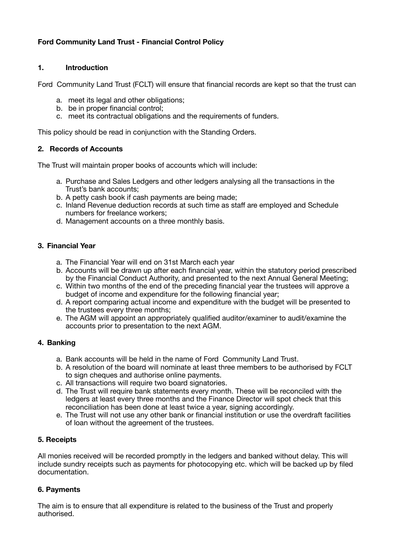# **Ford Community Land Trust - Financial Control Policy**

### **1. Introduction**

Ford Community Land Trust (FCLT) will ensure that financial records are kept so that the trust can

- a. meet its legal and other obligations;
- b. be in proper financial control;
- c. meet its contractual obligations and the requirements of funders.

This policy should be read in conjunction with the Standing Orders.

### **2. Records of Accounts**

The Trust will maintain proper books of accounts which will include:

- a. Purchase and Sales Ledgers and other ledgers analysing all the transactions in the Trust's bank accounts;
- b. A petty cash book if cash payments are being made;
- c. Inland Revenue deduction records at such time as staff are employed and Schedule numbers for freelance workers;
- d. Management accounts on a three monthly basis.

#### **3. Financial Year**

- a. The Financial Year will end on 31st March each year
- b. Accounts will be drawn up after each financial year, within the statutory period prescribed by the Financial Conduct Authority, and presented to the next Annual General Meeting;
- c. Within two months of the end of the preceding financial year the trustees will approve a budget of income and expenditure for the following financial year;
- d. A report comparing actual income and expenditure with the budget will be presented to the trustees every three months;
- e. The AGM will appoint an appropriately qualified auditor/examiner to audit/examine the accounts prior to presentation to the next AGM.

### **4. Banking**

- a. Bank accounts will be held in the name of Ford Community Land Trust.
- b. A resolution of the board will nominate at least three members to be authorised by FCLT to sign cheques and authorise online payments.
- c. All transactions will require two board signatories.
- d. The Trust will require bank statements every month. These will be reconciled with the ledgers at least every three months and the Finance Director will spot check that this reconciliation has been done at least twice a year, signing accordingly.
- e. The Trust will not use any other bank or financial institution or use the overdraft facilities of loan without the agreement of the trustees.

### **5. Receipts**

All monies received will be recorded promptly in the ledgers and banked without delay. This will include sundry receipts such as payments for photocopying etc. which will be backed up by filed documentation.

### **6. Payments**

The aim is to ensure that all expenditure is related to the business of the Trust and properly authorised.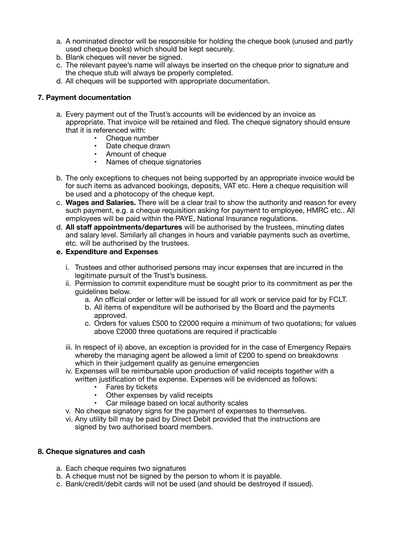- a. A nominated director will be responsible for holding the cheque book (unused and partly used cheque books) which should be kept securely.
- b. Blank cheques will never be signed.
- c. The relevant payee's name will always be inserted on the cheque prior to signature and the cheque stub will always be properly completed.
- d. All cheques will be supported with appropriate documentation.

#### **7. Payment documentation**

- a. Every payment out of the Trust's accounts will be evidenced by an invoice as appropriate. That invoice will be retained and filed. The cheque signatory should ensure that it is referenced with:
	- Cheque number
	- Date cheque drawn
	- Amount of cheque
	- Names of cheque signatories
- b. The only exceptions to cheques not being supported by an appropriate invoice would be for such items as advanced bookings, deposits, VAT etc. Here a cheque requisition will be used and a photocopy of the cheque kept.
- c. **Wages and Salaries.** There will be a clear trail to show the authority and reason for every such payment, e.g. a cheque requisition asking for payment to employee, HMRC etc.. All employees will be paid within the PAYE, National Insurance regulations.
- d. **All staff appointments/departures** will be authorised by the trustees, minuting dates and salary level. Similarly all changes in hours and variable payments such as overtime, etc. will be authorised by the trustees.

#### **e. Expenditure and Expenses**

- i. Trustees and other authorised persons may incur expenses that are incurred in the legitimate pursuit of the Trust's business.
- ii. Permission to commit expenditure must be sought prior to its commitment as per the guidelines below.
	- a. An official order or letter will be issued for all work or service paid for by FCLT.
	- b. All items of expenditure will be authorised by the Board and the payments approved.
	- c. Orders for values £500 to £2000 require a minimum of two quotations; for values above £2000 three quotations are required if practicable
- iii. In respect of ii) above, an exception is provided for in the case of Emergency Repairs whereby the managing agent be allowed a limit of £200 to spend on breakdowns which in their judgement qualify as genuine emergencies
- iv. Expenses will be reimbursable upon production of valid receipts together with a written justification of the expense. Expenses will be evidenced as follows:
	- Fares by tickets
	- Other expenses by valid receipts
	- Car mileage based on local authority scales
- v. No cheque signatory signs for the payment of expenses to themselves.
- vi. Any utility bill may be paid by Direct Debit provided that the instructions are signed by two authorised board members.

#### **8. Cheque signatures and cash**

- a. Each cheque requires two signatures
- b. A cheque must not be signed by the person to whom it is payable.
- c. Bank/credit/debit cards will not be used (and should be destroyed if issued).